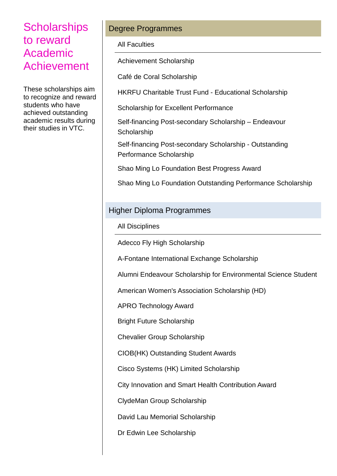These scholarships aim to recognize and reward students who have achieved outstanding academic results during their studies in VTC.

#### Degree Programmes

All Faculties

Achievement Scholarship

Café de Coral Scholarship

HKRFU Charitable Trust Fund - Educational Scholarship

Scholarship for Excellent Performance

Self-financing Post-secondary Scholarship – Endeavour **Scholarship** 

Self-financing Post-secondary Scholarship - Outstanding Performance Scholarship

Shao Ming Lo Foundation Best Progress Award

Shao Ming Lo Foundation Outstanding Performance Scholarship

#### Higher Diploma Programmes

All Disciplines

Adecco Fly High Scholarship

A-Fontane International Exchange Scholarship

Alumni Endeavour Scholarship for Environmental Science Student

American Women's Association Scholarship (HD)

APRO Technology Award

Bright Future Scholarship

Chevalier Group Scholarship

CIOB(HK) Outstanding Student Awards

Cisco Systems (HK) Limited Scholarship

City Innovation and Smart Health Contribution Award

ClydeMan Group Scholarship

David Lau Memorial Scholarship

Dr Edwin Lee Scholarship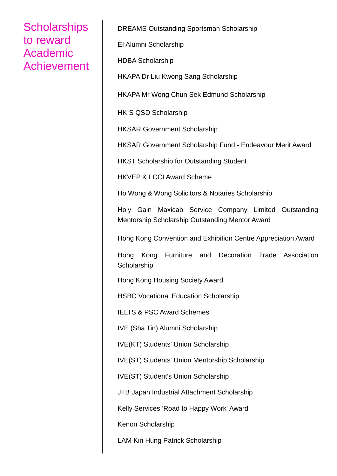DREAMS Outstanding Sportsman Scholarship

EI Alumni Scholarship

HDBA Scholarship

HKAPA Dr Liu Kwong Sang Scholarship

HKAPA Mr Wong Chun Sek Edmund Scholarship

HKIS QSD Scholarship

HKSAR Government Scholarship

HKSAR Government Scholarship Fund - Endeavour Merit Award

HKST Scholarship for Outstanding Student

HKVEP & LCCI Award Scheme

Ho Wong & Wong Solicitors & Notaries Scholarship

Holy Gain Maxicab Service Company Limited Outstanding Mentorship Scholarship Outstanding Mentor Award

Hong Kong Convention and Exhibition Centre Appreciation Award

Hong Kong Furniture and Decoration Trade Association **Scholarship** 

Hong Kong Housing Society Award

HSBC Vocational Education Scholarship

IELTS & PSC Award Schemes

IVE (Sha Tin) Alumni Scholarship

IVE(KT) Students' Union Scholarship

IVE(ST) Students' Union Mentorship Scholarship

IVE(ST) Student's Union Scholarship

JTB Japan Industrial Attachment Scholarship

Kelly Services 'Road to Happy Work' Award

Kenon Scholarship

LAM Kin Hung Patrick Scholarship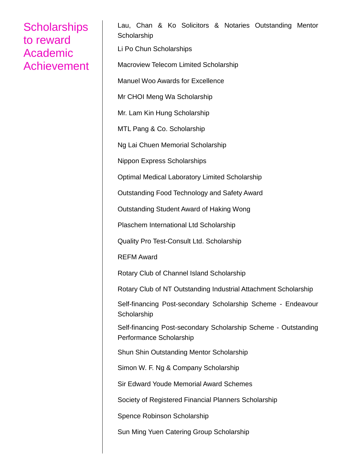Lau, Chan & Ko Solicitors & Notaries Outstanding Mentor **Scholarship** Li Po Chun Scholarships Macroview Telecom Limited Scholarship Manuel Woo Awards for Excellence Mr CHOI Meng Wa Scholarship Mr. Lam Kin Hung Scholarship MTL Pang & Co. Scholarship Ng Lai Chuen Memorial Scholarship Nippon Express Scholarships Optimal Medical Laboratory Limited Scholarship Outstanding Food Technology and Safety Award Outstanding Student Award of Haking Wong Plaschem International Ltd Scholarship Quality Pro Test-Consult Ltd. Scholarship REFM Award Rotary Club of Channel Island Scholarship Rotary Club of NT Outstanding Industrial Attachment Scholarship Self-financing Post-secondary Scholarship Scheme - Endeavour **Scholarship** Self-financing Post-secondary Scholarship Scheme - Outstanding Performance Scholarship Shun Shin Outstanding Mentor Scholarship Simon W. F. Ng & Company Scholarship Sir Edward Youde Memorial Award Schemes Society of Registered Financial Planners Scholarship Spence Robinson Scholarship Sun Ming Yuen Catering Group Scholarship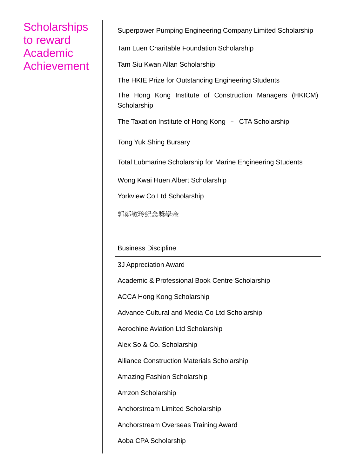Superpower Pumping Engineering Company Limited Scholarship

Tam Luen Charitable Foundation Scholarship

Tam Siu Kwan Allan Scholarship

The HKIE Prize for Outstanding Engineering Students

The Hong Kong Institute of Construction Managers (HKICM) **Scholarship** 

The Taxation Institute of Hong Kong – CTA Scholarship

Tong Yuk Shing Bursary

Total Lubmarine Scholarship for Marine Engineering Students

Wong Kwai Huen Albert Scholarship

Yorkview Co Ltd Scholarship

郭鄭敏玲紀念奬學金

Business Discipline

3J Appreciation Award

Academic & Professional Book Centre Scholarship

ACCA Hong Kong Scholarship

Advance Cultural and Media Co Ltd Scholarship

Aerochine Aviation Ltd Scholarship

Alex So & Co. Scholarship

Alliance Construction Materials Scholarship

Amazing Fashion Scholarship

Amzon Scholarship

Anchorstream Limited Scholarship

Anchorstream Overseas Training Award

Aoba CPA Scholarship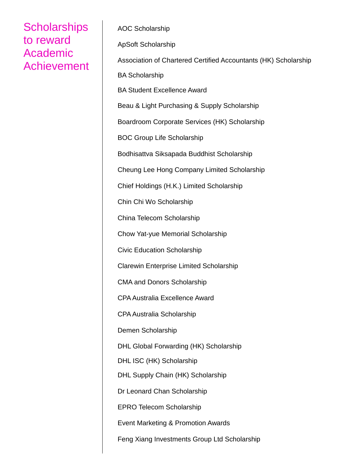AOC Scholarship ApSoft Scholarship Association of Chartered Certified Accountants (HK) Scholarship BA Scholarship BA Student Excellence Award Beau & Light Purchasing & Supply Scholarship Boardroom Corporate Services (HK) Scholarship BOC Group Life Scholarship Bodhisattva Siksapada Buddhist Scholarship Cheung Lee Hong Company Limited Scholarship Chief Holdings (H.K.) Limited Scholarship Chin Chi Wo Scholarship China Telecom Scholarship Chow Yat-yue Memorial Scholarship Civic Education Scholarship Clarewin Enterprise Limited Scholarship CMA and Donors Scholarship CPA Australia Excellence Award CPA Australia Scholarship Demen Scholarship DHL Global Forwarding (HK) Scholarship DHL ISC (HK) Scholarship DHL Supply Chain (HK) Scholarship Dr Leonard Chan Scholarship EPRO Telecom Scholarship Event Marketing & Promotion Awards Feng Xiang Investments Group Ltd Scholarship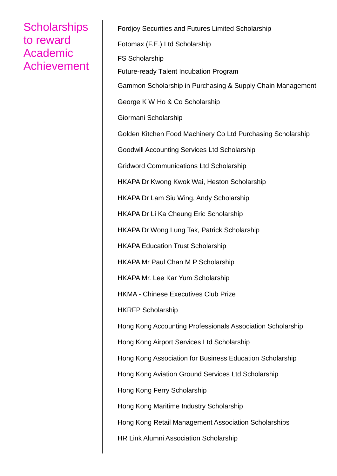Fordjoy Securities and Futures Limited Scholarship Fotomax (F.E.) Ltd Scholarship FS Scholarship Future-ready Talent Incubation Program Gammon Scholarship in Purchasing & Supply Chain Management George K W Ho & Co Scholarship Giormani Scholarship Golden Kitchen Food Machinery Co Ltd Purchasing Scholarship Goodwill Accounting Services Ltd Scholarship Gridword Communications Ltd Scholarship HKAPA Dr Kwong Kwok Wai, Heston Scholarship HKAPA Dr Lam Siu Wing, Andy Scholarship HKAPA Dr Li Ka Cheung Eric Scholarship HKAPA Dr Wong Lung Tak, Patrick Scholarship HKAPA Education Trust Scholarship HKAPA Mr Paul Chan M P Scholarship HKAPA Mr. Lee Kar Yum Scholarship HKMA - Chinese Executives Club Prize HKRFP Scholarship Hong Kong Accounting Professionals Association Scholarship Hong Kong Airport Services Ltd Scholarship Hong Kong Association for Business Education Scholarship Hong Kong Aviation Ground Services Ltd Scholarship Hong Kong Ferry Scholarship Hong Kong Maritime Industry Scholarship Hong Kong Retail Management Association Scholarships HR Link Alumni Association Scholarship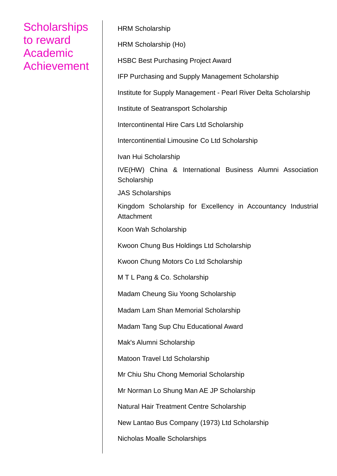HRM Scholarship HRM Scholarship (Ho) HSBC Best Purchasing Project Award IFP Purchasing and Supply Management Scholarship Institute for Supply Management - Pearl River Delta Scholarship Institute of Seatransport Scholarship Intercontinental Hire Cars Ltd Scholarship Intercontinential Limousine Co Ltd Scholarship Ivan Hui Scholarship IVE(HW) China & International Business Alumni Association **Scholarship** JAS Scholarships Kingdom Scholarship for Excellency in Accountancy Industrial **Attachment** Koon Wah Scholarship Kwoon Chung Bus Holdings Ltd Scholarship Kwoon Chung Motors Co Ltd Scholarship M T L Pang & Co. Scholarship Madam Cheung Siu Yoong Scholarship Madam Lam Shan Memorial Scholarship Madam Tang Sup Chu Educational Award Mak's Alumni Scholarship Matoon Travel Ltd Scholarship Mr Chiu Shu Chong Memorial Scholarship Mr Norman Lo Shung Man AE JP Scholarship Natural Hair Treatment Centre Scholarship New Lantao Bus Company (1973) Ltd Scholarship Nicholas Moalle Scholarships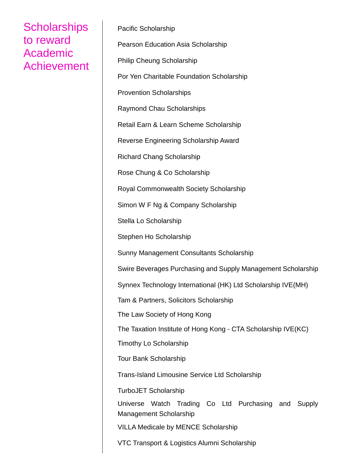Pacific Scholarship Pearson Education Asia Scholarship Philip Cheung Scholarship Por Yen Charitable Foundation Scholarship Provention Scholarships Raymond Chau Scholarships Retail Earn & Learn Scheme Scholarship Reverse Engineering Scholarship Award Richard Chang Scholarship Rose Chung & Co Scholarship Royal Commonwealth Society Scholarship Simon W F Ng & Company Scholarship Stella Lo Scholarship Stephen Ho Scholarship Sunny Management Consultants Scholarship Swire Beverages Purchasing and Supply Management Scholarship Synnex Technology International (HK) Ltd Scholarship IVE(MH) Tam & Partners, Solicitors Scholarship The Law Society of Hong Kong The Taxation Institute of Hong Kong - CTA Scholarship IVE(KC) Timothy Lo Scholarship Tour Bank Scholarship Trans-Island Limousine Service Ltd Scholarship TurboJET Scholarship Universe Watch Trading Co Ltd Purchasing and Supply Management Scholarship VILLA Medicale by MENCE Scholarship VTC Transport & Logistics Alumni Scholarship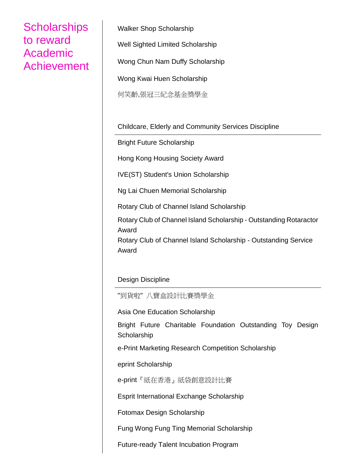Walker Shop Scholarship Well Sighted Limited Scholarship Wong Chun Nam Duffy Scholarship Wong Kwai Huen Scholarship 何笑齡,張冠三紀念基金獎學金

Childcare, Elderly and Community Services Discipline

Bright Future Scholarship

Hong Kong Housing Society Award

IVE(ST) Student's Union Scholarship

Ng Lai Chuen Memorial Scholarship

Rotary Club of Channel Island Scholarship

Rotary Club of Channel Island Scholarship - Outstanding Rotaractor Award

Rotary Club of Channel Island Scholarship - Outstanding Service Award

Design Discipline

"到貨啦" 八寶盒設計比賽獎學金

Asia One Education Scholarship

Bright Future Charitable Foundation Outstanding Toy Design **Scholarship** 

e-Print Marketing Research Competition Scholarship

eprint Scholarship

e-print『紙在香港』紙袋創意設計比賽

Esprit International Exchange Scholarship

Fotomax Design Scholarship

Fung Wong Fung Ting Memorial Scholarship

Future-ready Talent Incubation Program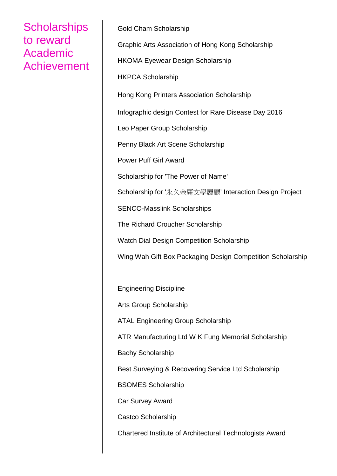Gold Cham Scholarship Graphic Arts Association of Hong Kong Scholarship HKOMA Eyewear Design Scholarship HKPCA Scholarship Hong Kong Printers Association Scholarship Infographic design Contest for Rare Disease Day 2016 Leo Paper Group Scholarship Penny Black Art Scene Scholarship Power Puff Girl Award Scholarship for 'The Power of Name' Scholarship for '永久金庸文學展廳' Interaction Design Project SENCO-Masslink Scholarships The Richard Croucher Scholarship Watch Dial Design Competition Scholarship Wing Wah Gift Box Packaging Design Competition Scholarship Engineering Discipline

Arts Group Scholarship

ATAL Engineering Group Scholarship

ATR Manufacturing Ltd W K Fung Memorial Scholarship

Bachy Scholarship

Best Surveying & Recovering Service Ltd Scholarship

BSOMES Scholarship

Car Survey Award

Castco Scholarship

Chartered Institute of Architectural Technologists Award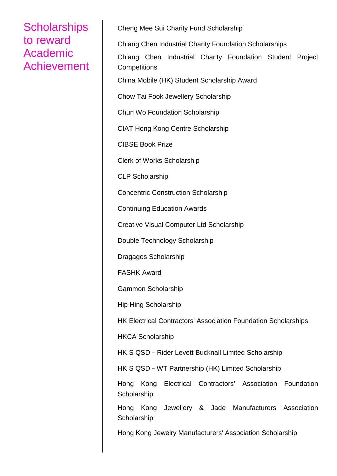Cheng Mee Sui Charity Fund Scholarship

Chiang Chen Industrial Charity Foundation Scholarships

Chiang Chen Industrial Charity Foundation Student Project **Competitions** 

China Mobile (HK) Student Scholarship Award

Chow Tai Fook Jewellery Scholarship

Chun Wo Foundation Scholarship

CIAT Hong Kong Centre Scholarship

CIBSE Book Prize

Clerk of Works Scholarship

CLP Scholarship

Concentric Construction Scholarship

Continuing Education Awards

Creative Visual Computer Ltd Scholarship

Double Technology Scholarship

Dragages Scholarship

FASHK Award

Gammon Scholarship

Hip Hing Scholarship

HK Electrical Contractors' Association Foundation Scholarships

HKCA Scholarship

HKIS QSD–Rider Levett Bucknall Limited Scholarship

HKIS QSD–WT Partnership (HK) Limited Scholarship

Hong Kong Electrical Contractors' Association Foundation **Scholarship** 

Hong Kong Jewellery & Jade Manufacturers Association **Scholarship** 

Hong Kong Jewelry Manufacturers' Association Scholarship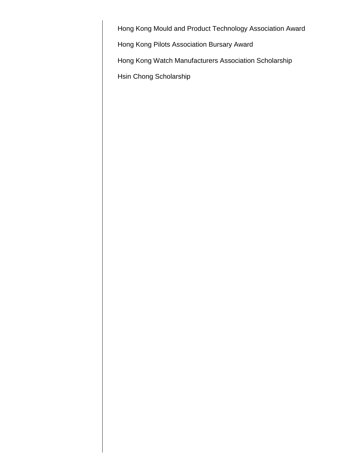Hong Kong Mould and Product Technology Association Award

Hong Kong Pilots Association Bursary Award

Hong Kong Watch Manufacturers Association Scholarship

Hsin Chong Scholarship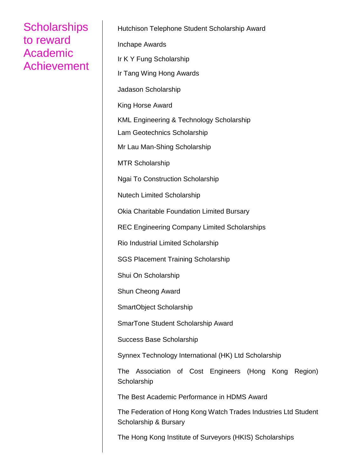Hutchison Telephone Student Scholarship Award Inchape Awards Ir K Y Fung Scholarship Ir Tang Wing Hong Awards Jadason Scholarship King Horse Award KML Engineering & Technology Scholarship Lam Geotechnics Scholarship Mr Lau Man-Shing Scholarship MTR Scholarship Ngai To Construction Scholarship Nutech Limited Scholarship Okia Charitable Foundation Limited Bursary REC Engineering Company Limited Scholarships Rio Industrial Limited Scholarship SGS Placement Training Scholarship Shui On Scholarship Shun Cheong Award SmartObject Scholarship SmarTone Student Scholarship Award Success Base Scholarship Synnex Technology International (HK) Ltd Scholarship The Association of Cost Engineers (Hong Kong Region) **Scholarship** The Best Academic Performance in HDMS Award The Federation of Hong Kong Watch Trades Industries Ltd Student Scholarship & Bursary

The Hong Kong Institute of Surveyors (HKIS) Scholarships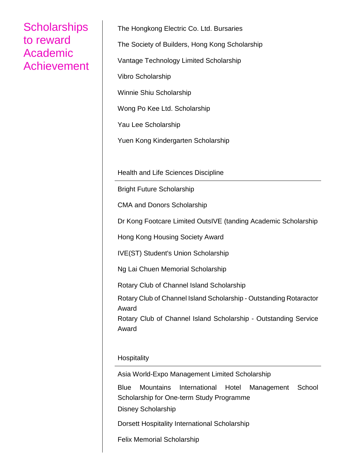The Hongkong Electric Co. Ltd. Bursaries The Society of Builders, Hong Kong Scholarship Vantage Technology Limited Scholarship Vibro Scholarship Winnie Shiu Scholarship Wong Po Kee Ltd. Scholarship Yau Lee Scholarship Yuen Kong Kindergarten Scholarship

Health and Life Sciences Discipline

Bright Future Scholarship

CMA and Donors Scholarship

Dr Kong Footcare Limited OutsIVE (tanding Academic Scholarship

Hong Kong Housing Society Award

IVE(ST) Student's Union Scholarship

Ng Lai Chuen Memorial Scholarship

Rotary Club of Channel Island Scholarship

Rotary Club of Channel Island Scholarship - Outstanding Rotaractor Award

Rotary Club of Channel Island Scholarship - Outstanding Service Award

#### **Hospitality**

Asia World-Expo Management Limited Scholarship

Blue Mountains International Hotel Management School Scholarship for One-term Study Programme

Disney Scholarship

Dorsett Hospitality International Scholarship

Felix Memorial Scholarship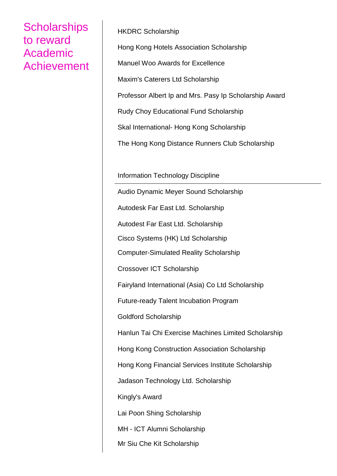HKDRC Scholarship Hong Kong Hotels Association Scholarship Manuel Woo Awards for Excellence Maxim's Caterers Ltd Scholarship Professor Albert Ip and Mrs. Pasy Ip Scholarship Award Rudy Choy Educational Fund Scholarship Skal International- Hong Kong Scholarship The Hong Kong Distance Runners Club Scholarship

Information Technology Discipline

Audio Dynamic Meyer Sound Scholarship Autodesk Far East Ltd. Scholarship Autodest Far East Ltd. Scholarship Cisco Systems (HK) Ltd Scholarship Computer-Simulated Reality Scholarship Crossover ICT Scholarship Fairyland International (Asia) Co Ltd Scholarship Future-ready Talent Incubation Program Goldford Scholarship Hanlun Tai Chi Exercise Machines Limited Scholarship Hong Kong Construction Association Scholarship Hong Kong Financial Services Institute Scholarship Jadason Technology Ltd. Scholarship Kingly's Award Lai Poon Shing Scholarship MH - ICT Alumni Scholarship Mr Siu Che Kit Scholarship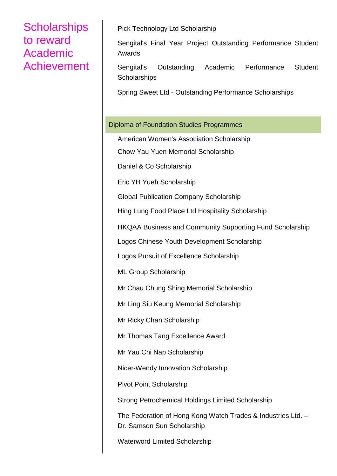Pick Technology Ltd Scholarship

Sengital's Final Year Project Outstanding Performance Student Awards

Sengital's Outstanding Academic Performance Student **Scholarships** 

Spring Sweet Ltd - Outstanding Performance Scholarships

#### Diploma of Foundation Studies Programmes

American Women's Association Scholarship

Chow Yau Yuen Memorial Scholarship

Daniel & Co Scholarship

Eric YH Yueh Scholarship

Global Publication Company Scholarship

Hing Lung Food Place Ltd Hospitality Scholarship

HKQAA Business and Community Supporting Fund Scholarship

Logos Chinese Youth Development Scholarship

Logos Pursuit of Excellence Scholarship

ML Group Scholarship

Mr Chau Chung Shing Memorial Scholarship

Mr Ling Siu Keung Memorial Scholarship

Mr Ricky Chan Scholarship

Mr Thomas Tang Excellence Award

Mr Yau Chi Nap Scholarship

Nicer-Wendy Innovation Scholarship

Pivot Point Scholarship

Strong Petrochemical Holdings Limited Scholarship

The Federation of Hong Kong Watch Trades & Industries Ltd. – Dr. Samson Sun Scholarship

Waterword Limited Scholarship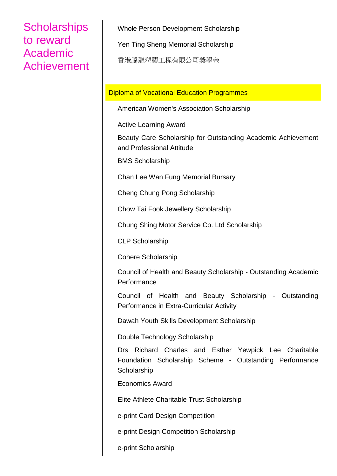Whole Person Development Scholarship

Yen Ting Sheng Memorial Scholarship

香港騰龍塑膠工程有限公司奬學金

#### Diploma of Vocational Education Programmes

American Women's Association Scholarship

Active Learning Award

Beauty Care Scholarship for Outstanding Academic Achievement and Professional Attitude

BMS Scholarship

Chan Lee Wan Fung Memorial Bursary

Cheng Chung Pong Scholarship

Chow Tai Fook Jewellery Scholarship

Chung Shing Motor Service Co. Ltd Scholarship

CLP Scholarship

Cohere Scholarship

Council of Health and Beauty Scholarship - Outstanding Academic **Performance** 

Council of Health and Beauty Scholarship - Outstanding Performance in Extra-Curricular Activity

Dawah Youth Skills Development Scholarship

Double Technology Scholarship

Drs Richard Charles and Esther Yewpick Lee Charitable Foundation Scholarship Scheme - Outstanding Performance **Scholarship** 

Economics Award

Elite Athlete Charitable Trust Scholarship

e-print Card Design Competition

e-print Design Competition Scholarship

e-print Scholarship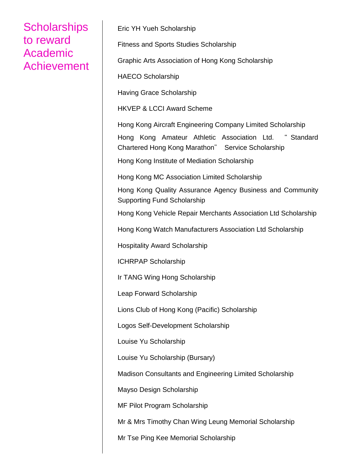Eric YH Yueh Scholarship

Fitness and Sports Studies Scholarship

Graphic Arts Association of Hong Kong Scholarship

HAECO Scholarship

Having Grace Scholarship

HKVEP & LCCI Award Scheme

Hong Kong Aircraft Engineering Company Limited Scholarship

Hong Kong Amateur Athletic Association Ltd. " Standard Chartered Hong Kong Marathon" Service Scholarship

Hong Kong Institute of Mediation Scholarship

Hong Kong MC Association Limited Scholarship

Hong Kong Quality Assurance Agency Business and Community Supporting Fund Scholarship

Hong Kong Vehicle Repair Merchants Association Ltd Scholarship

Hong Kong Watch Manufacturers Association Ltd Scholarship

Hospitality Award Scholarship

ICHRPAP Scholarship

Ir TANG Wing Hong Scholarship

Leap Forward Scholarship

Lions Club of Hong Kong (Pacific) Scholarship

Logos Self-Development Scholarship

Louise Yu Scholarship

Louise Yu Scholarship (Bursary)

Madison Consultants and Engineering Limited Scholarship

Mayso Design Scholarship

MF Pilot Program Scholarship

Mr & Mrs Timothy Chan Wing Leung Memorial Scholarship

Mr Tse Ping Kee Memorial Scholarship